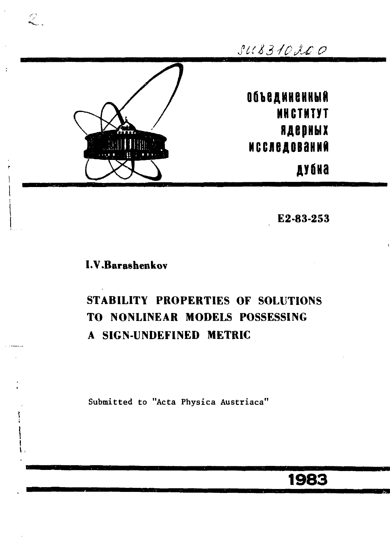

**Е2-83-253** 

### **LV.Baraehenkov**

# **STABILITY PROPERTIES OF SOLUTIONS TO NONLINEAR MODELS POSSESSING A SIGN-UNDEFINED METRIC**

Submitted to "Acta Physica Austriaca"

**1983**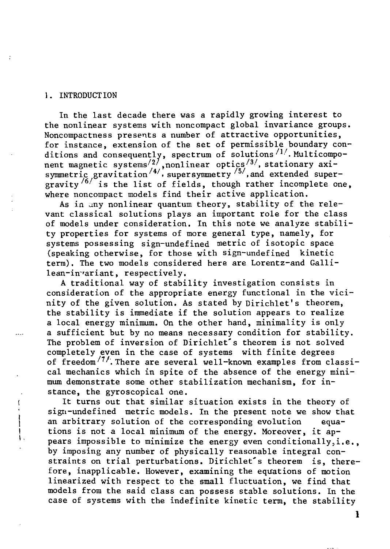#### 1. INTRODUCTION

÷

In the last decade there was a rapidly growing interest to the nonlinear systems with noncompact global invariance groups. Noncompactness presents a number of attractive opportunities, for instance, extension of the set of permissible boundary conditions and consequently, spectrum of solutions*''• .* Multicomponent magnetic systems $\langle^{2}/$  ,nonlinear optics $\langle^{3}/$ , stationary axisymmetric gravitation'<sup>47</sup>, supersymmetry'<sup>37</sup>,and extended supergravity  $\frac{1}{6}$  is the list of fields, though rather incomplete one, where noncompact models find their active application.

As in any nonlinear quantum theory, stability of the relevant classical solutions plays an important role for the class of models under consideration. In this note we analyze stability properties for systems of more general type, namely, for systems possessing sign-undefined metric of isotopic space (speaking otherwise, for those with sign-undefined kinetic term). The two models considered here are Lorentz-and Gallilean-in-variant, respectively.

A traditional way of stability investigation consists in consideration of the appropriate energy functional in the vicinity of the given solution. As stated by Dirichlet's theorem, the stability is immediate if the solution appears to realize a local energy minimum. On the other hand, minimality is only a sufficient but by no means necessary condition for stability. The problem of inversion of Dirichlet's theorem is not solved completely even in the case of systems with finite degrees of freedom<sup>/7/</sup>. There are several well-known examples from classical mechanics which in spite of the absence of the energy minimum demonstrate some other stabilization mechanism, for instance, the gyroscopical one.

It turns out that similar situation exists in the theory of sign-undefined metric models. In the present note we show that an arbitrary solution of the corresponding evolution equations is not a local minimum of the energy. Moreover, it appears impossible to minimize the energy even conditionally,i.e., by imposing any number of physically reasonable integral constraints on trial perturbations. Dirichlet's theorem is, therefore, inapplicable. However, examining the equations of motion linearized with respect to the small fluctuation, we find that models from the said class can possess stable solutions. In the case of systems with the indefinite kinetic term, the stability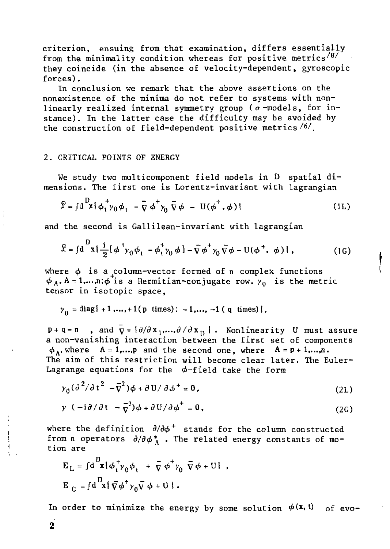criterion, ensuing from that examination, differs essentially from the minimality condition whereas for positive metrics<sup>/8/</sup> they coincide (in the absence of velocity-dependent, gyroscopic forces).

In conclusion we remark that the above assertions on the nonexistence of the minima do not refer to systems with nonlinearly realized internal symmetry group ( $\sigma$ -models, for instance). In the latter case the difficulty may be avoided by the construction of field-dependent positive metrics *1^1.* 

#### 2. CRITICAL POINTS OF ENERGY

We study two multicomponent field models in D spatial dimensions. The first one is Lorentz-invariant with lagrangian

$$
\mathcal{L} = \int d \mathbf{R} \mathbf{R} \phi_1 + \gamma_0 \phi_1 - \bar{\mathbf{V}} \phi_1 + \gamma_0 \bar{\mathbf{V}} \phi - \mathbf{U}(\phi_1 + \phi) \tag{1L}
$$

and the second is Gallilean-invariant with lagrangian

$$
\mathcal{L} = \int d^D x \left\{ \frac{i}{2} [\phi^+ \gamma_0 \phi_1 - \phi_1^+ \gamma_0 \phi] - \bar{\nabla} \phi^+ \gamma_0 \bar{\nabla} \phi - U (\phi^+, \phi) \right\},\tag{1G}
$$

where *ф* is a column-vector formed of n complex functions  $\alpha_A$ , A = 1,...,n; $\phi$  is a Hermitian-conjugate row.  $\gamma_0$  is the metric tensor in isotopic space,

$$
\gamma_0 = \text{diag}\{-1, ..., +1(p \text{ times})\}
$$
, -1,..., -1 (q \text{ times})\},

 $p + q = n$  , and  $\nabla = \{\partial/\partial x_1, \dots, \partial/\partial x_n\}$ . Nonlinearity U must assure a non-vanishing interaction between the first set of components  $\phi_A$ , where  $A = 1,...,p$  and the second one, where  $A = p + 1,...,n$ . The aim of this restriction will become clear later. The Euler-Lagrange equations for the  $\phi$ -field take the form

$$
y_0 \left(\frac{\partial^2}{\partial t^2} - \overline{v}^2\right) \phi + \frac{\partial U}{\partial t^+} = 0,
$$
\n(2L)

$$
y (-i\partial/\partial t - \overline{y}^2)\phi + \partial U/\partial \phi^+ = 0,
$$
 (2G)

where the definition *д/дф<sup>+</sup>* stands for the column constructed from n operators  $\partial/\partial \phi_A^*$ . The related energy constants of motion are

$$
E_{L} = \int d^{D}x \{ \phi_{t}^{+} y_{0} \phi_{t} + \overline{y} \phi^{+} y_{0} \overline{y} \phi + U \},
$$
  
\n
$$
E_{G} = \int d^{D}x \{ \overline{y} \phi^{+} y_{0} \overline{y} \phi + U \}.
$$

In order to minimize the energy by some solution  $\phi(\mathbf{x}, \mathbf{t})$  of evo-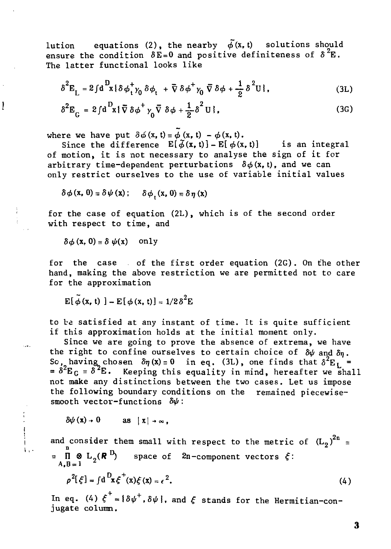lution equations (2), the nearby  $\tilde{\phi}(x, t)$  solutions should ensure the condition  $\delta E = 0$  and positive definiteness of  $\delta^2 E$ . The latter functional looks like

$$
\delta^2 \mathbf{E}_L = 2 \int d^D \mathbf{x} \{ \delta \phi_t^+ \gamma_0 \delta \phi_t^+ + \overline{\nabla} \delta \phi^+ \gamma_0 \overline{\nabla} \delta \phi + \frac{1}{2} \delta^2 \mathbf{U} \}, \tag{3L}
$$

$$
\delta^2 E_G = 2 \int d^D x {\{\overline{\nabla} \delta \phi^+ \gamma_0 \overline{\nabla} \delta \phi + \frac{1}{2} \delta^2 U \}},
$$
 (3G)

where we have put  $\delta\phi(x, t) = \phi(x, t) - \phi(x, t)$ .

Since the difference  $E[\tilde{\phi}(x, t)] - E[\phi(x, t)]$  is an integral of motion, it is not necessary to analyse the sign of it for arbitrary time-dependent perturbations  $\delta \phi(x, t)$ , and we can only restrict ourselves to the use of variable initial values

$$
\delta\phi\left(\mathbf{x},\,\mathbf{0}\right)\equiv\delta\psi\left(\mathbf{x}\right); \qquad \delta\phi\left(\mathbf{x},\,\mathbf{0}\right)\equiv\delta\eta\left(\mathbf{x}\right)
$$

for the case of equation (2L), which is of the second order with respect to time, and

 $\delta \phi$  (**x**, 0) =  $\delta \psi$ (**x**) only

Į

 $\begin{array}{c} \n\downarrow \\
\downarrow \\
\downarrow \\
\downarrow\n\end{array}$ 

 $\mathbf{1}$ 

for the case of the first order equation (2G). On the other hand, making the above restriction we are permitted not to care for the approximation

 $E[\tilde{\phi}(x, t)] - E[\phi(x, t)] = 1/2\delta^2E$ 

to be satisfied at any instant of time. It is quite sufficient if this approximation holds at the initial moment only.

Since we are going to prove the absence of extrema, we have the right to confine ourselves to certain choice of  $\delta\psi$  and  $\delta n$ . So, having chosen  $\delta \eta(x) \equiv 0$  in eq. (3L), one finds that  $\delta^2 {\rm E}^{}_{\rm L}$  = = *8\*EG* = S^E. Ke eping this equality in mind, hereafter we shall not make any distinctions between the two cases. Let us impose the following boundary conditions on the remained piecewisesmooth vector-functions *8ф:* 

$$
\delta\psi(x) \to 0 \quad \text{as} \quad |x| \to \infty,
$$

and consider them small with respect to the metric of  $(L_2)^{2n}$  =  $\overline{\mathbf{H}} \otimes \mathbf{L}_2(\mathbf{R}^{\mathbf{D}})$  space of  $2\mathbf{n}$ -component vectors  $\xi$ :

 $\rho^2[\xi] = \int d^D x \xi^T(x) \xi(x) = \epsilon^2$  $\mathcal{L}$ . (4)

In eq. (4)  $\xi^+ = {\delta \psi^+}$ ,  $\delta \psi$ , and  $\xi$  stands for the Hermitian-conjugate column.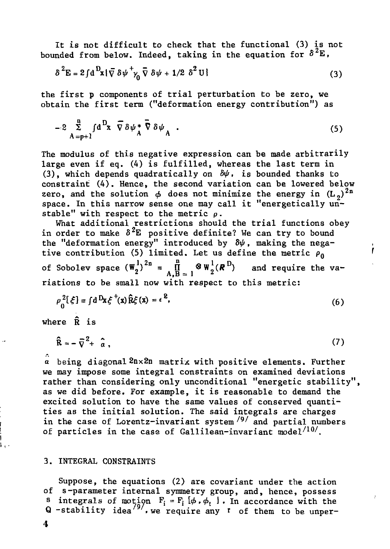It is not difficult to check that the functional (3) is not bounded from below. Indeed, taking in the equation for  $\delta^2 E$ ,

$$
\delta^2 \mathbf{E} = 2 \int d^D \mathbf{x} \{ \bar{\nabla} \delta \psi + \gamma_0 \bar{\nabla} \delta \psi + 1/2 \delta^2 U \}
$$
 (3)

the first p components of trial perturbation to be zero, we obtain the first term ("deformation energy contribution") as

$$
-2\sum_{A=p+1}^{n} f d^{D}x \nabla \delta \psi_A^* \nabla \delta \psi_A.
$$
 (5)

The modulus of this negative expression can be made arbitrarily large even if eq. (4) is fulfilled, whereas the last term in (3), which depends quadratically on *8ф,* is bounded thanks to constraint (4). Hence, the second variation can be lowered below zero, and the solution  $\phi$  does not minimize the energy in  $(L_2)^{2n}$ space. In this narrow sense one may call it "energetically unstable" with respect to the metric  $\rho$ .

What additional restrictions should the trial functions obey in order to make  $\delta^2$ E positive definite? We can try to bound the "deformation energy" introduced by *8ф*, making the negative contribution (5) limited. Let us define the metric  $\rho_0$ of Sobolev space  $(\mathbf{W}_{2}^{1})^{2n} = \prod_{\mathbf{A},\mathbf{B}}^{n} \otimes \mathbf{W}_{2}^{1}(\mathbf{R}^{D})$  and require the variations to be small now with respect to this metric:

ľ

$$
\rho_{\alpha}^{2}[\xi] = \int d^{D}x \xi^{+}(x) \widehat{R}\xi(x) = \epsilon^{2}, \qquad (6)
$$

where R is

$$
\hat{\mathbf{R}} = -\bar{\nabla}^2 + \hat{a},\qquad(7)
$$

*a* being diagonal2nx2n matrix with positive elements. Further we may impose some integral constraints on examined deviations rather than considering only unconditional "energetic stability", as we did before. For example, it is reasonable to demand the excited solution to have the same values of conserved quantities as the initial solution. The said integrals are charges in the case of Lorentz-invariant system'*<sup>9</sup> '* and partial numbers of particles in the case of Gallilean-invariant model $^{/10/}$ .

#### 3. INTEGRAL CONSTRAINTS

Suppose, the equations (2) are covariant under the action of s-parameter internal symmetry group, and, hence, possess s integrals of motion  $F_i = F_i \, \phi_i$ ,  $\phi_t$  . In accordance with the Q -stability idea''', we require any 't of them to be unper-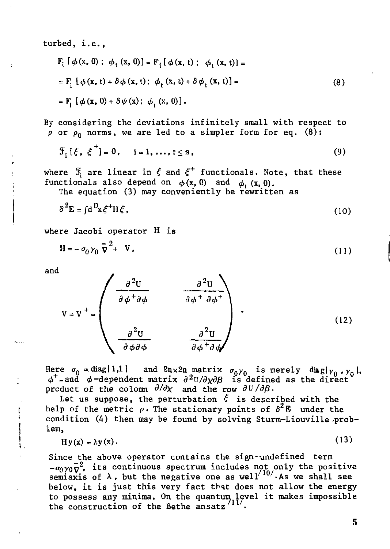turbed, i.e.,

$$
F_{i} [\phi(x, 0); \phi_{t} (x, 0)] = F_{i} [\phi(x, t); \phi_{t} (x, t)] =
$$
  
=  $F_{i} [\phi(x, t) + \delta \phi(x, t); \phi_{t} (x, t) + \delta \phi_{t} (x, t)] =$   
=  $F_{i} [\phi(x, 0) + \delta \psi(x); \phi_{t} (x, 0)],$  (8)

By considering the deviations infinitely small with respect to  $\rho$  or  $\rho_0$  norms, we are led to a simpler form for eq. (8):

$$
\mathcal{F}_i\left[\xi, \xi^{\top}\right] = 0, \quad i = 1, \ldots, t \leq s,
$$
\n(9)

where  $\mathfrak{F}_i$  are linear in  $\xi$  and  $\xi^+$  functionals. Note, that these functionals also depend on  $\phi(x, 0)$  and  $\phi_t(x, 0)$ .

The equation (3) may conveniently be rewritten as

$$
\delta^2 \mathbf{E} = \int \mathbf{d}^D \mathbf{x} \, \xi^+ \mathbf{H} \, \xi \,, \tag{10}
$$

where Jacobi operator H is

$$
H = -\sigma_0 \gamma_0 \overline{v}^2 + V \tag{11}
$$

and

$$
V = V^{+} = \begin{pmatrix} \frac{\partial^{2}U}{\partial \phi^{+} \partial \phi} & \frac{\partial^{2}U}{\partial \phi^{+} \partial \phi^{+}} \\ \frac{\partial^{2}U}{\partial \phi \partial \phi} & \frac{\partial^{2}U}{\partial \phi^{+} \partial \phi^{+}} \end{pmatrix} .
$$
 (12)

Here  $\sigma_0 = \text{diag}\{1,1\}$  and  $2n \times 2n$  matrix  $\sigma_0 \gamma_0$  is merely diagi $\gamma_0$ ,  $\gamma_0$ ,  $\phi^+$ -and φ-dependent matrix  $\partial^2$ U/ $\partial\chi\partial\beta$  is defined as the direct  $\check{\,}$ product of the colomn  $\partial/\partial \chi$  and the row  $\partial U/\partial \beta$ .

Let us suppose, the perturbation  $\xi$  is described with the help of the metric  $\rho$ . The stationary points of  $\delta^2$ **E** under the condition  $(4)$  then may be found by solving Sturm-Liouville problem,

$$
Hy(x) = \lambda y(x). \tag{13}
$$

Since the above operator contains the sign-undefined term  $-\sigma_0$   $y_0\nabla^2$ , its continuous spectrum includes not only the positive semiaxis of  $\lambda$ , but the negative one as well $'$   $''$  As we shall see below, it is just this very fact that does not allow the energy to possess any minima. On the quantum level it makes impossible the construction of the Bethe ansatz'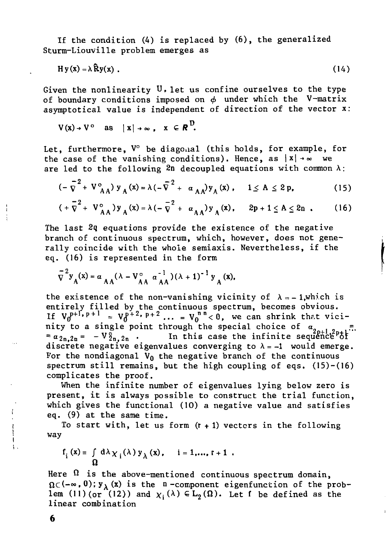If the condition (4) is replaced by (6), the generalized Sturm-Liouville problem emerges as

$$
Hy(x) = \lambda \widehat{R}y(x) \tag{14}
$$

Given the nonlinearity  $U$ , let us confine ourselves to the type of boundary conditions imposed on *ф* under which the V-matrix asymptotical value is independent of direction of the vector  $x$ :

$$
V(x) \rightarrow V^{\circ} \text{ as } |x| \rightarrow \infty, x \in R^{U}.
$$

Let, furthermore, V° be diagonal (this holds, for example, for the case of the vanishing conditions). Hence, as  $|x| \rightarrow \infty$  we are led to the following  $2n$  decoupled equations with common  $\lambda$ :

$$
(-\bar{\nabla}^{2} + V_{AA}^{\circ}) y_{A}(x) = \lambda (-\bar{\nabla}^{2} + a_{AA}) y_{A}(x), \quad 1 \le A \le 2p,
$$
 (15)

$$
(+\bar{\nabla}^2 + V_{AA}^{\circ})y_A(x) = \lambda (-\bar{\nabla}^2 + \alpha_{AA})y_A(x), \quad 2p + 1 \le A \le 2n .
$$
 (16)

The last 2q equations provide the existence of the negative branch of continuous spectrum, which, however, does not generally coincide with the whole semiaxis. Nevertheless, if the eq. (16) is represented in the form

$$
\bar{V}^{2}y_{A}(x) = \alpha_{AA}(\lambda - V_{AA}^{o} \alpha_{AA}^{-1})(\lambda + 1)^{-1}y_{A}(x),
$$

 $\overline{A}$  Aa Aa Aa $\overline{A}$  Aa Aa $\overline{A}$  Aa Aa $\overline{A}$  Aa Aa $\overline{A}$  Aa Aa $\overline{A}$  Aa Aa $\overline{A}$  Aa Aa $\overline{A}$  Aa Aa $\overline{A}$  Aa Aa $\overline{A}$  Aa Aa $\overline{A}$  Aa Aa $\overline{A}$  Aa Aa $\overline{A}$  Aa Aa $\overline{A}$  Aa Aa $\overline{A}$  Aa Aa $\overline{A}$ the existence of the non-vanishing vicinity of  $A = -1$ , which is entirely filled by the continuous spectrum, becomes obvious.<br>Is virilated at a late of the continuous spectrum, becomes obvious. If  $V_0$   $= V_0$   $= V_0$   $<$  0, we can shrink that vic nity to a single point through the special choice of  $a_{2p+1,2p+1}$ .  $\frac{2}{n}a_{2n}a_{n}=-V_{2n}a_{2n}$  . In this case the infinite sequence of discrete negative eigenvalues converging to  $\lambda = -1$  would emerge. For the nondiagonal  $V_0$  the negative branch of the continuous spectrum still remains, but the high coupling of eqs.  $(15)-(16)$ complicates the proof.

When the infinite number of eigenvalues lying below zero is present, it is always possible to construct the trial function, which gives the functional (10) a negative value and satisfies eq. (9) at the same time.

To start with, let us form  $(r + 1)$  vectors in the following way

$$
f_i(x) = \int d\lambda \chi_i(\lambda) y_{\lambda}(x), \quad i = 1,..., t+1.
$$

Here  $\Omega$  is the above-mentioned continuous spectrum domain,  $\Omega \subset (-\infty, 0); y_{\lambda}$  (x) is the n-component eigenfunction of the problem (11) (or (12)) and  $\chi_i(\lambda) \in L_2(\Omega)$ . Let f be defined as the linear combination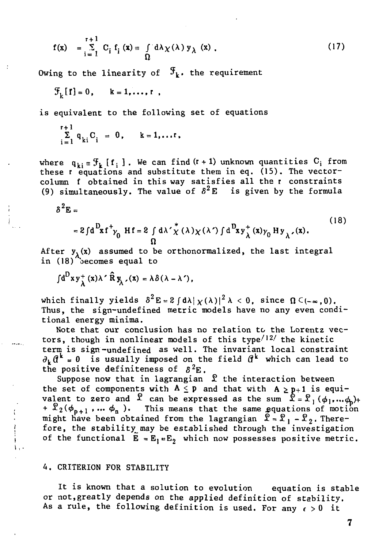$$
f(x) = \sum_{i=1}^{r+1} C_i f_i(x) = \int_0^x d\lambda \chi(\lambda) y_{\lambda}(x) .
$$
 (17)

Owing to the linearity of  $\mathcal{F}_k$ . the requirement

 $\mathcal{F}_L[f] = 0$ ,  $k = 1, \ldots, r$ ,

is equivalent to the following set of equations

$$
\sum_{i=1}^{r+1} q_{ki} C_i = 0, \qquad k = 1, \ldots r,
$$

where  $\mathbf{q}_{\mathbf{k}}$   $_{\mathbf{i}}$   $_{\mathbf{j}}$   $_{\mathbf{k}}$  [f $_{\mathbf{i}}$  ]. We can find (r+1) unknown quantities  $\mathrm{C}_{\mathbf{i}}$  from these г equations and substitute them in eq. (15). The vectorcolumn f obtained in this way satisfies all the r constraints (9) simultaneously. The value of  $\delta^2$ E is given by the formula

$$
\delta^2 E =
$$

$$
=2fd\frac{D_{xf}t_{\gamma_{0}}}{\Omega}Hf=2\int d\lambda'\frac{*}{\chi}(\lambda)\chi(\lambda')\int d\frac{D_{xy}t}{\lambda}(x)\gamma_{0}Hy_{\lambda'}(x).
$$
\n(18)

After  $y_1(x)$  assumed to be orthonormalized, the last integral in (18) becomes equal to

 $\int d^D x y^+_{\lambda}(x) \lambda' \hat{R} y_{\lambda}$ ,  $(x) = \lambda \delta(\lambda - \lambda')$ .

which finally yields  $\delta^2 E = 2 \int d\lambda |\chi(\lambda)|^2 \lambda < 0$ , since  $\Omega \subset (-\infty, 0)$ . Thus, the sign-undefined metric models have no any even conditional energy minima.

Note that our conclusion has no relation to the Lorentz vectors, though in nonlinear models of this type<sup> $/12/$ </sup> the kinetic term is sign-undefined as well. The invariant local constraint  $\partial_k \theta^k = 0$  is usually imposed on the field  $\theta^k$  which can lead to the positive definiteness of  $\delta^2 E$ .

Suppose now that in lagrangian *£* the interaction between the set of components with  $A \leq p$  and that with  $A \geq p+1$  is equivalent to zero and  $\mathfrak X$  can be expressed as the sum  $\mathfrak X = \mathfrak X_1 \left( \phi_1, \ldots \phi_n \right) + 1$  $+ \mathcal{X}_2(\phi_{n+1}, ..., \phi_n)$ . This means that the same equations of motion might have been obtained from the lagrangian *£ = £<sup>l</sup> -£%.* Therefore, the stability may be established through the investigation of the functional  $\bar{E} = E_1 E_2$  which now possesses positive metric.

#### 4. CRITERION FOR STABILITY

It is known that a solution to evolution equation is stable or not,greatly depends on the applied definition of stability. As a rule, the following definition is used. For any  $\epsilon > 0$  it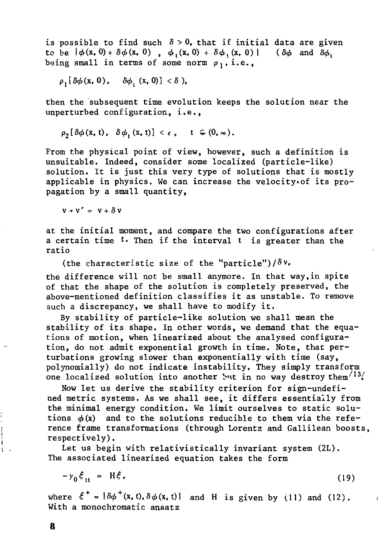is possible to find such  $\delta > 0$ , that if initial data are given to be  $\{\phi(x, 0) + \delta\phi(x, 0) \ , \ \phi_t(x, 0) + \delta\phi_t(x, 0)\}$  ( $\delta\phi$  and  $\delta\phi_t$ ) being small in terms of some norm  $\rho_1$ , i.e.,

 $\rho_1[\delta\phi(x, 0), \quad \delta\phi_i(x, 0)] < \delta$ ),

then the subsequent time evolution keeps the solution near the unperturbed configuration, i.e.,

$$
\rho_2[\delta\phi(\mathbf{x},t), \delta\phi_{t}(\mathbf{x},t)] < \epsilon, \quad t \in (0,\infty).
$$

From the physical point of view, however, such a definition is unsuitable. Indeed, consider some localized (particle-like) solution. It is just this very type of solutions that is mostly applicable in physics. We can increase the velocity»of its propagation by a small quantity,

 $v \rightarrow v' = v + \delta v$ 

at the initial moment, and compare the two configurations after a certain time '• Then if the interval t is greater than the ratio

(the characteristic size of the "particle")/ $\delta v$ .

the difference will not be small anymore. In that way,in spite of that the shape of the solution is completely preserved, the above-mentioned definition classifies it as unstable. To remove such a discrepancy, we shall have to modify it.

By stability of particle-like solution we shall mean the stability of its shape. In other words, we demand that the equations of motion, when linearized about the analysed configuration, do not admit exponential growth in time. Note, that perturbations growing slower than exponentially with time (say, polynomially) do not indicate instability. They simply transform one localized solution into another but in no way destroy them<sup>/13</sup>/

Now let us derive the stability criterion for sign-undefined metric systems. As we shall see, it differs essentially from the minimal energy condition. We limit ourselves to static solu tions  $\phi(x)$  and to the solutions reducible to them via the reference frame transformations (through Lorentz and Gallilean boosts, • respectively).

Let us begin with relativistically invariant system (2L). The associated linearized equation takes the form

$$
-\gamma_0 \xi_{tt} = H\xi, \qquad (19)
$$

where  $\xi^+ = {\delta \phi^+(x, t), \delta \phi(x, t)}$  and H is given by (11) and (12). With a monochromatic ansatz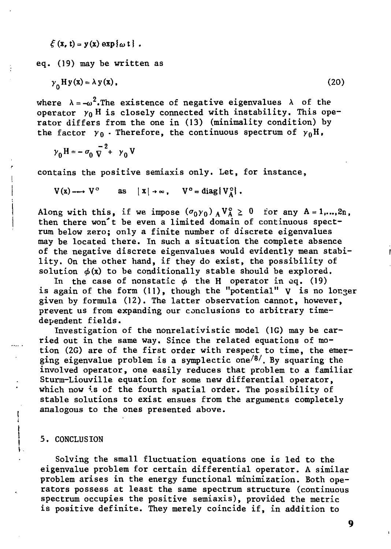$$
\xi(x, t) = y(x) \exp{\omega t}.
$$

eq. (19) may be written as

$$
\gamma_0 H y(x) = \lambda y(x), \qquad (20)
$$

where  $\lambda = -\omega^2$ . The existence of negative eigenvalues  $\lambda$  of the operator  $y_0$  H is closely connected with instability. This operator differs from the one in (13) (minimality condition) by the factor  $y_0$ . Therefore, the continuous spectrum of  $y_0$ H,

$$
\gamma_0 H = -\sigma_0 \overline{v}^2 + \gamma_0 V
$$

contains the positive semiaxis only. Let, for instance,

 $V(x) \longrightarrow V^{\circ}$  as  $|x| \rightarrow \infty$ ,  $V^{\circ} = \text{diag}\{V_{A}^{\circ}\}.$ 

Along with this, if we impose  $(\sigma_0 \gamma_0)$   $_A V_A^{\circ} \ge 0$  for any A = 1,...,2n, then there won't be even a limited domain of continuous spectrum below zero; only a finite number of discrete eigenvalues may be located there. In such a situation the complete absence of the negative discrete eigenvalues would evidently mean stability. On the other hand, if they do exist, the possibility of solution *ф(х)* to be conditionally stable should be explored.

In the case of nonstatic *ф* the H operator in eq. (19) is again of the form  $(11)$ , though the "potential"  $V$  is no longer given by formula (12). The latter observation cannot, however, prevent us from expanding our conclusions to arbitrary timedependent fields.

Investigation of the nonrelativistic model (1G) may be carried out in the same way. Since the related equations of motion (2G) are of the first order with respect to time, the emerging eigenvalue problem is a symplectic one<sup>/8/</sup>. By squaring the involved operator, one easily reduces that problem to a familiar Sturm-Liouville equation for some new differential operator, which now is of the fourth spatial order. The possibility of stable solutions to exist ensues from the arguments completely analogous to the ones presented above.

#### 5. CONCLUSION

ļ

Solving the small fluctuation equations one is led to the eigenvalue problem for certain differential operator. A similar problem arises in the energy functional minimization. Both operators possess at least the same spectrum structure (continuous spectrum occupies the positive semiaxis), provided the metric is positive definite. They merely coincide if, in addition to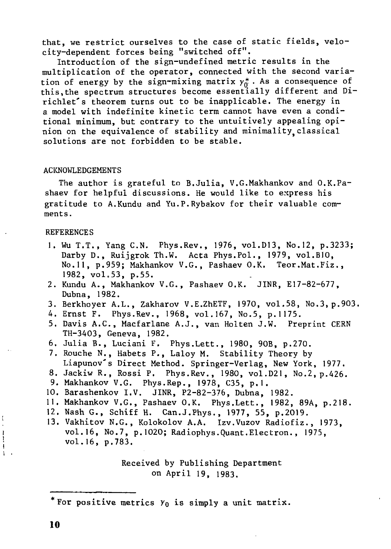that, we restrict ourselves to the case of static fields, velocity-dependent forces being "switched off".

Introduction of the sign-undefined metric results in the multiplication of the operator, connected with the second variation of energy by the sign-mixing matrix  $y_{\alpha}^*$ . As a consequence of this,the spectrum structures become essentially different and Dirichlet's theorem turns out to be inapplicable. The energy in a model with indefinite kinetic term cannot have even a conditional minimum, but contrary to the untuitively appealing opinion on the equivalence of stability and minimality classical solutions are not forbidden to be stable.

#### **ACKNOWLEDGEMENTS**

The author is grateful to B.Julia, V.G.Makhankov and O.K.Pashaev for helpful discussions. He would like to express his gratitude to A.Kundu and Yu.P.Rybakov for their valuable comments.

#### REFERENCES

- 1. Wu T.T., Yang C.N. Phys.Rev., 1976, vol.D13, No.12, p.3233; Darby D., Ruijgrok Th.W. Acta Phys.Pol., 1979, vol.B10, No.ll, p.959; Makhankov V.G., Pashaev O.K. Teor.Mat.Fiz., 1982, vol.53, p.55.
- 2. Kundu A., Makhankov V.G., Pashaev O.K. JINR, E17-82-677, Dubna, 1982.
- 3. Berkhoyer A.L., Zakharov V.E.ZhETF, 1970, vol.58, No.3, p.903.
- 4. Ernst F. Phys.Rev., 1968, vol.167, No.5, p.1175.
- 5. Davis A.C., Macfarlane A.J., van Holten J.W. Preprint CERN TH-3403, Geneva, 1982.
- 6. Julia В., Luciani F. Phys.Lett., 1980, 90B, p.270.
- 7. Rouche N., Habets P., Laloy M. Stability Theory by Liapunov's Direct Method. Springer-Verlag, New York, 1977.
- 8. JackiwR., Rossi P. Phys.Rev., 1980, vol.D21, No.2, p.426.
- 9. Makhankov V.G. Phys.Rep., 1978, C35, p.I.
- 10. Barashenkov I.V. JINR, P2-82-376, Dubna, 1982.
- 11. Makhankov V.G., Pashaev O.K. Phys.Lett., 1982, 89A, p.218.
- 12. Nash G., Schiff H. Can.J.Phys., 1977, 55, p.2019.
- 13. Vakhitov N.G., Kolokolov A.A. Izv.Vuzov Radiofiz., 1973, vol.16, No.7, p.1020; Radiophys.Quant.Electron. , 1975, vol.16, p.783.

Received by Publishing Department on April 19, 1983.

 $\begin{array}{c} \begin{array}{c} \bullet \\ \bullet \\ \bullet \end{array} \end{array}$ Ī

<sup>\*</sup> For positive metrics  $Y_0$  is simply a unit matrix.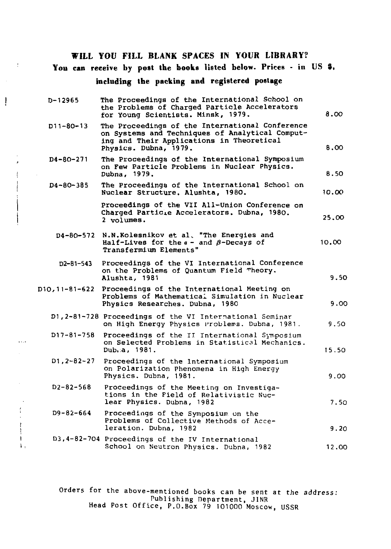**WILL YOU FILL BLANK SPACES IN YOUR LIBRARY?** 

 $\overline{\mathbb{C}}$ 

 $\mathfrak{f}$ 

 $\frac{1}{\sqrt{2}}$ 

 $\sim$   $\sim$ 

 $\begin{array}{c} 1 \\ 1 \\ 1 \\ 1 \end{array}$ 

 $\mathbf{F}_1$ 

Ţ

**You can receive by post the books listed below.** Prices **-** in **US S.** 

### **including the packing and registered postage**

| D-12965           | The Proceedings of the International School on<br>the Problems of Charged Particle Accelerators<br>for Young Scientists. Minsk, 1979.                                    | 8.00  |
|-------------------|--------------------------------------------------------------------------------------------------------------------------------------------------------------------------|-------|
| D11-80-13         | The Proceedings of the International Conference<br>on Systems and Techniques of Analytical Comput-<br>ing and Their Applications in Theoretical<br>Physics. Dubna. 1979. | 8.00  |
| D4-80-271         | The Proceedings of the International Symposium<br>on Few Particle Problems in Nuclear Physics.<br>Dubna, 1979.                                                           | 8.50  |
| D4-80-385         | The Proceedings of the International School on<br>Nuclear Structure. Alushta, 1980.                                                                                      | 10.00 |
|                   | Proceedings of the VII All-Union Conference on<br>Charged Particle Accelerators. Dubna, 1980.<br>2 volumes.                                                              | 25.00 |
| D4-80-572         | N.N.Kolesnikov et al. "The Energies and<br>Half-Lives for the $a -$ and $\beta$ -Decays of<br>Transfermium Elements"                                                     | 10.00 |
| D2-81-543         | Proceedings of the VI International Conference<br>on the Problems of Quantum Field Theory.<br>Alushta, 1981                                                              | 9.50  |
|                   | D10,11-81-622 Proceedings of the International Meeting on<br>Problems of Mathematical Simulation in Nuclear<br>Physics Researches. Dubna, 1980                           | 9.00  |
|                   | D1, 2-81-728 Proceedings of the VI International Seminar<br>on High Energy Physics Problems. Dubna. 1981.                                                                | 9.50  |
| D17-81-758        | Proceedings of the II International Symposium<br>on Selected Problems in Statistical Mechanics.<br>Dub.a. 1981.                                                          | 15.50 |
| $D1, 2 - B2 - 27$ | Proceedings of the International Symposium<br>on Polarization Phenomena in High Energy<br>Physics. Dubna, 1981.                                                          | 9.00  |
| $D2 - B2 - 568$   | Proceedings of the Meeting on Investiga-<br>tions in the Field of Relativistic Nuc-<br>lear Physics. Dubna, 1982                                                         | 7.50  |
| D9-82-664         | Proceedings of the Symposium on the<br>Problems of Collective Methods of Acce-<br>leration. Dubna. 1982                                                                  | 9.20  |
|                   | D3, 4-82-704 Proceedings of the IV International<br>School on Neutron Physics. Dubna, 1982                                                                               | 12.00 |

Orders for the above-mentioned books can be sent at the address: Tublishing Department, JINR Head Post Office, P.O.Box 79 101000 Moscow, USSR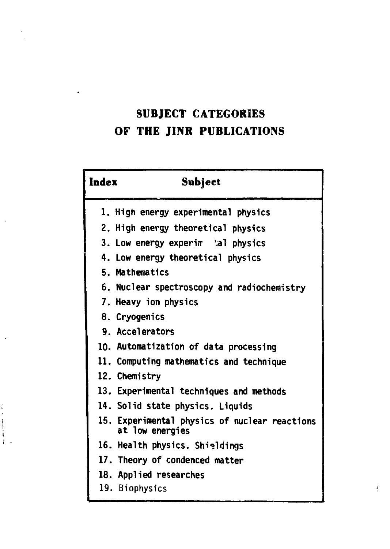## **SUBJECT CATEGORIES OF THE JINR PUBLICATIONS**

| Index | Subject                                                          |
|-------|------------------------------------------------------------------|
|       | 1. High energy experimental physics                              |
|       | 2. High energy theoretical physics                               |
|       | 3. Low energy experim bal physics                                |
|       | 4. Low energy theoretical physics                                |
|       | 5. Mathematics                                                   |
|       | 6. Nuclear spectroscopy and radiochemistry                       |
|       | 7. Heavy ion physics                                             |
|       | 8. Cryogenics                                                    |
|       | 9. Accelerators                                                  |
|       | 10. Automatization of data processing                            |
|       | 11. Computing mathematics and technique                          |
|       | 12. Chemistry                                                    |
|       | 13. Experimental techniques and methods                          |
|       | 14. Solid state physics. Liquids                                 |
|       | 15. Experimental physics of nuclear reactions<br>at low energies |
|       | 16. Health physics. Shieldings                                   |
|       | 17. Theory of condenced matter                                   |
|       | 18. Applied researches                                           |
|       | 19. Biophysics                                                   |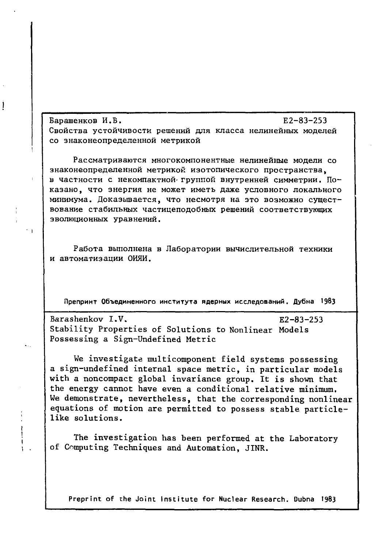Барашенков И.В.  $E2-83-253$ Свойства устойчивости решений для класса нелинейных моделей со знаконеопределенной метрикой

1

Рассматриваются многокомпонентные нелинейные модели со знаконеопределенной метрикой изотопического пространства, в частности с некомпактной группой внутренней симметрии. Показано, что энергия не может иметь даже условного локального минимума. Доказывается, что несмотря на это возможно существование стабильных частицеподобных решений соответствующих эволюционных уравнений.

Работа выполнена в Лаборатории вычислительной техники и автоматизации ОИЯИ.

Препринт Объединенного института ядерных исследований. Дубна 1983

Barashenkov I.V. E2-83-253 Stability Properties of Solutions to Nonlinear Models Possessing a Sign-Undefined Metric

We investigate multicomponent field systems possessing a sign-undefined internal space metric, in particular models with a noncompact global invariance group. It is shown that the energy cannot have even a conditional relative minimum. We demonstrate, nevertheless, that the corresponding nonlinear equations of motion are permitted to possess stable particlelike solutions.

The investigation has been performed at the Laboratory of Computing Techniques and Automation, JINR.

Preprint of the Joint Institute for Nuclear Research. Dubna 1983